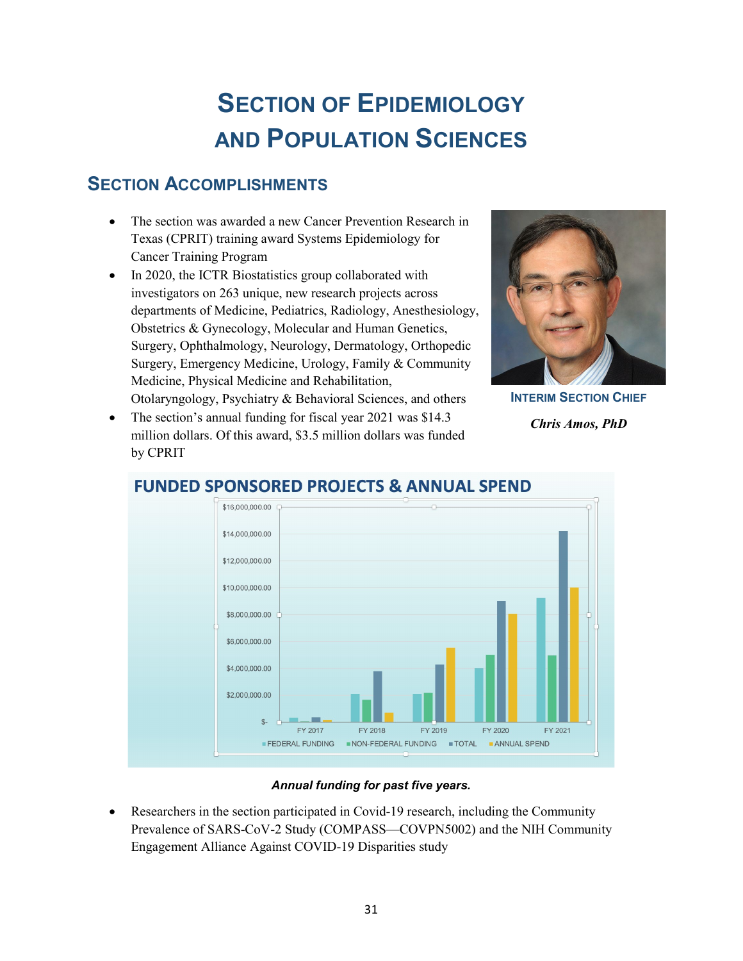# **SECTION OF EPIDEMIOLOGY AND POPULATION SCIENCES**

# **SECTION ACCOMPLISHMENTS**

- The section was awarded a new Cancer Prevention Research in Texas (CPRIT) training award Systems Epidemiology for Cancer Training Program
- In 2020, the ICTR Biostatistics group collaborated with investigators on 263 unique, new research projects across departments of Medicine, Pediatrics, Radiology, Anesthesiology, Obstetrics & Gynecology, Molecular and Human Genetics, Surgery, Ophthalmology, Neurology, Dermatology, Orthopedic Surgery, Emergency Medicine, Urology, Family & Community Medicine, Physical Medicine and Rehabilitation, Otolaryngology, Psychiatry & Behavioral Sciences, and others



**INTERIM SECTION CHIEF** 

*Chris Amos, PhD*

The section's annual funding for fiscal year 2021 was \$14.3 million dollars. Of this award, \$3.5 million dollars was funded by CPRIT



# **FUNDED SPONSORED PROJECTS & ANNUAL SPEND**

#### *Annual funding for past five years.*

• Researchers in the section participated in Covid-19 research, including the Community Prevalence of SARS-CoV-2 Study (COMPASS—COVPN5002) and the NIH Community Engagement Alliance Against COVID-19 Disparities study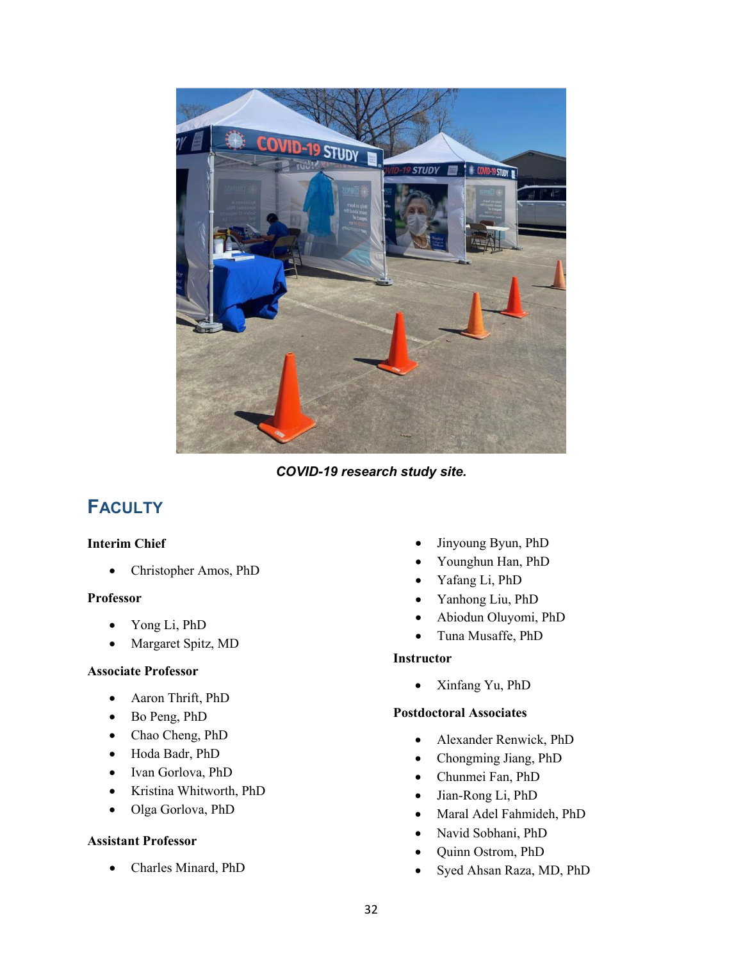

*COVID-19 research study site.* 

# **FACULTY**

#### **Interim Chief**

• Christopher Amos, PhD

#### **Professor**

- Yong Li, PhD
- Margaret Spitz, MD

#### **Associate Professor**

- Aaron Thrift, PhD
- Bo Peng, PhD
- Chao Cheng, PhD
- Hoda Badr, PhD
- Ivan Gorlova, PhD
- Kristina Whitworth, PhD
- Olga Gorlova, PhD

#### **Assistant Professor**

• Charles Minard, PhD

- Jinyoung Byun, PhD
- Younghun Han, PhD
- Yafang Li, PhD
- Yanhong Liu, PhD
- Abiodun Oluyomi, PhD
- Tuna Musaffe, PhD

#### **Instructor**

• Xinfang Yu, PhD

#### **Postdoctoral Associates**

- Alexander Renwick, PhD
- Chongming Jiang, PhD
- Chunmei Fan, PhD
- Jian-Rong Li, PhD
- Maral Adel Fahmideh, PhD
- Navid Sobhani, PhD
- Quinn Ostrom, PhD
- Syed Ahsan Raza, MD, PhD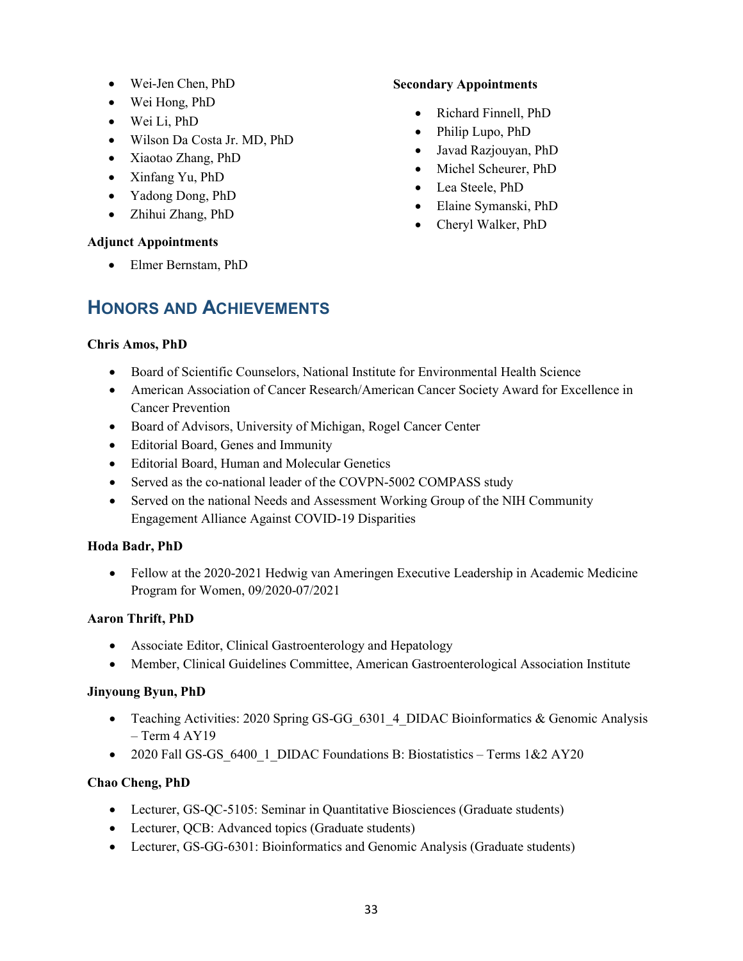- Wei-Jen Chen, PhD
- Wei Hong, PhD
- Wei Li, PhD
- Wilson Da Costa Jr. MD, PhD
- Xiaotao Zhang, PhD
- Xinfang Yu, PhD
- Yadong Dong, PhD
- Zhihui Zhang, PhD

#### **Adjunct Appointments**

• Elmer Bernstam, PhD

### **Secondary Appointments**

- Richard Finnell, PhD
- Philip Lupo, PhD
- Javad Razjouyan, PhD
- Michel Scheurer, PhD
- Lea Steele, PhD
- Elaine Symanski, PhD
- Cheryl Walker, PhD

# **HONORS AND ACHIEVEMENTS**

### **Chris Amos, PhD**

- Board of Scientific Counselors, National Institute for Environmental Health Science
- American Association of Cancer Research/American Cancer Society Award for Excellence in Cancer Prevention
- Board of Advisors, University of Michigan, Rogel Cancer Center
- Editorial Board, Genes and Immunity
- Editorial Board, Human and Molecular Genetics
- Served as the co-national leader of the COVPN-5002 COMPASS study
- Served on the national Needs and Assessment Working Group of the NIH Community Engagement Alliance Against COVID-19 Disparities

## **Hoda Badr, PhD**

• Fellow at the 2020-2021 Hedwig van Ameringen Executive Leadership in Academic Medicine Program for Women, 09/2020-07/2021

## **Aaron Thrift, PhD**

- Associate Editor, Clinical Gastroenterology and Hepatology
- Member, Clinical Guidelines Committee, American Gastroenterological Association Institute

## **Jinyoung Byun, PhD**

- Teaching Activities: 2020 Spring GS-GG 6301 4 DIDAC Bioinformatics & Genomic Analysis  $-$  Term 4 AY19
- 2020 Fall GS-GS 6400\_1\_DIDAC Foundations B: Biostatistics Terms 1&2 AY20

## **Chao Cheng, PhD**

- Lecturer, GS-QC-5105: Seminar in Quantitative Biosciences (Graduate students)
- Lecturer, QCB: Advanced topics (Graduate students)
- Lecturer, GS-GG-6301: Bioinformatics and Genomic Analysis (Graduate students)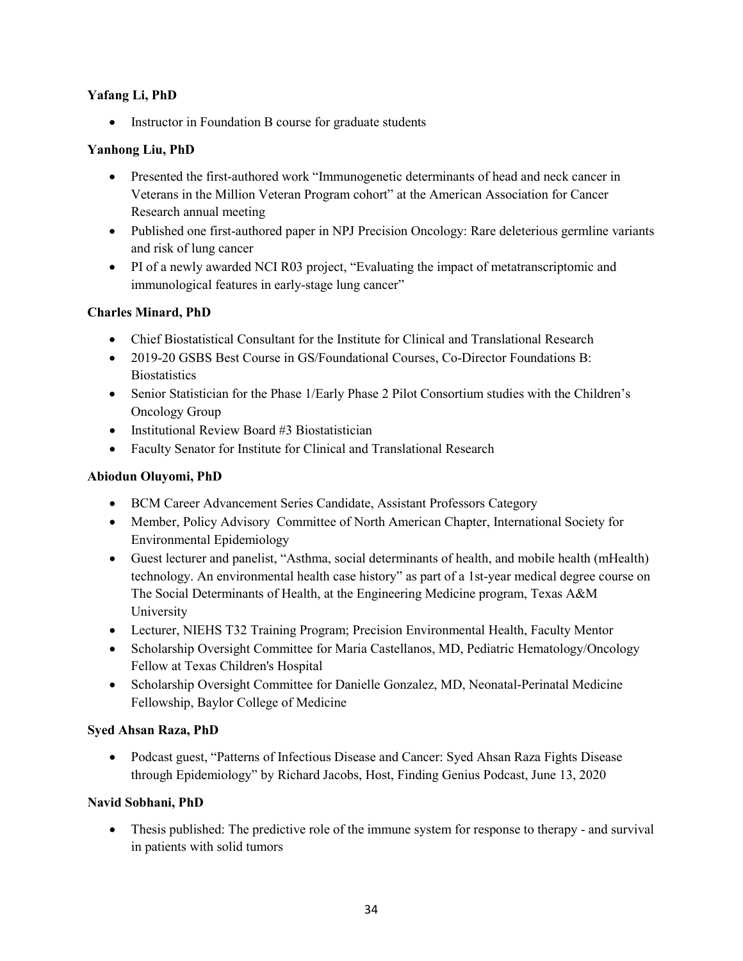#### **Yafang Li, PhD**

• Instructor in Foundation B course for graduate students

#### **Yanhong Liu, PhD**

- Presented the first-authored work "Immunogenetic determinants of head and neck cancer in Veterans in the Million Veteran Program cohort" at the American Association for Cancer Research annual meeting
- Published one first-authored paper in NPJ Precision Oncology: Rare deleterious germline variants and risk of lung cancer
- PI of a newly awarded NCI R03 project, "Evaluating the impact of metatranscriptomic and immunological features in early-stage lung cancer"

#### **Charles Minard, PhD**

- Chief Biostatistical Consultant for the Institute for Clinical and Translational Research
- 2019-20 GSBS Best Course in GS/Foundational Courses, Co-Director Foundations B: **Biostatistics**
- Senior Statistician for the Phase 1/Early Phase 2 Pilot Consortium studies with the Children's Oncology Group
- Institutional Review Board #3 Biostatistician
- Faculty Senator for Institute for Clinical and Translational Research

#### **Abiodun Oluyomi, PhD**

- BCM Career Advancement Series Candidate, Assistant Professors Category
- Member, Policy Advisory Committee of North American Chapter, International Society for Environmental Epidemiology
- Guest lecturer and panelist, "Asthma, social determinants of health, and mobile health (mHealth) technology. An environmental health case history" as part of a 1st-year medical degree course on The Social Determinants of Health, at the Engineering Medicine program, Texas A&M University
- Lecturer, NIEHS T32 Training Program; Precision Environmental Health, Faculty Mentor
- Scholarship Oversight Committee for Maria Castellanos, MD, Pediatric Hematology/Oncology Fellow at Texas Children's Hospital
- Scholarship Oversight Committee for Danielle Gonzalez, MD, Neonatal-Perinatal Medicine Fellowship, Baylor College of Medicine

#### **Syed Ahsan Raza, PhD**

• Podcast guest, "Patterns of Infectious Disease and Cancer: Syed Ahsan Raza Fights Disease through Epidemiology" by Richard Jacobs, Host, Finding Genius Podcast, June 13, 2020

#### **Navid Sobhani, PhD**

• Thesis published: The predictive role of the immune system for response to therapy - and survival in patients with solid tumors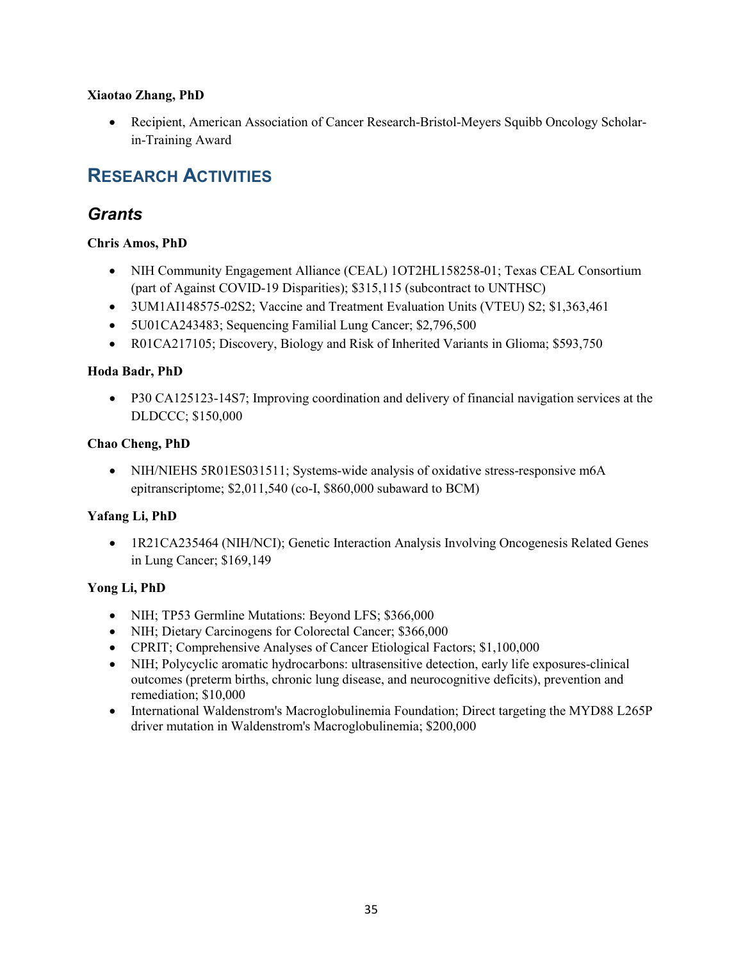#### **Xiaotao Zhang, PhD**

• Recipient, American Association of Cancer Research-Bristol-Meyers Squibb Oncology Scholarin-Training Award

# **RESEARCH ACTIVITIES**

# *Grants*

#### **Chris Amos, PhD**

- NIH Community Engagement Alliance (CEAL) 1OT2HL158258-01; Texas CEAL Consortium (part of Against COVID-19 Disparities); \$315,115 (subcontract to UNTHSC)
- 3UM1AI148575-02S2; Vaccine and Treatment Evaluation Units (VTEU) S2; \$1,363,461
- 5U01CA243483; Sequencing Familial Lung Cancer; \$2,796,500
- R01CA217105; Discovery, Biology and Risk of Inherited Variants in Glioma; \$593,750

#### **Hoda Badr, PhD**

• P30 CA125123-14S7; Improving coordination and delivery of financial navigation services at the DLDCCC; \$150,000

#### **Chao Cheng, PhD**

• NIH/NIEHS 5R01ES031511; Systems-wide analysis of oxidative stress-responsive m6A epitranscriptome; \$2,011,540 (co-I, \$860,000 subaward to BCM)

#### **Yafang Li, PhD**

• 1R21CA235464 (NIH/NCI); Genetic Interaction Analysis Involving Oncogenesis Related Genes in Lung Cancer; \$169,149

#### **Yong Li, PhD**

- NIH; TP53 Germline Mutations: Beyond LFS; \$366,000
- NIH; Dietary Carcinogens for Colorectal Cancer; \$366,000
- CPRIT; Comprehensive Analyses of Cancer Etiological Factors; \$1,100,000
- NIH; Polycyclic aromatic hydrocarbons: ultrasensitive detection, early life exposures-clinical outcomes (preterm births, chronic lung disease, and neurocognitive deficits), prevention and remediation; \$10,000
- International Waldenstrom's Macroglobulinemia Foundation; Direct targeting the MYD88 L265P driver mutation in Waldenstrom's Macroglobulinemia; \$200,000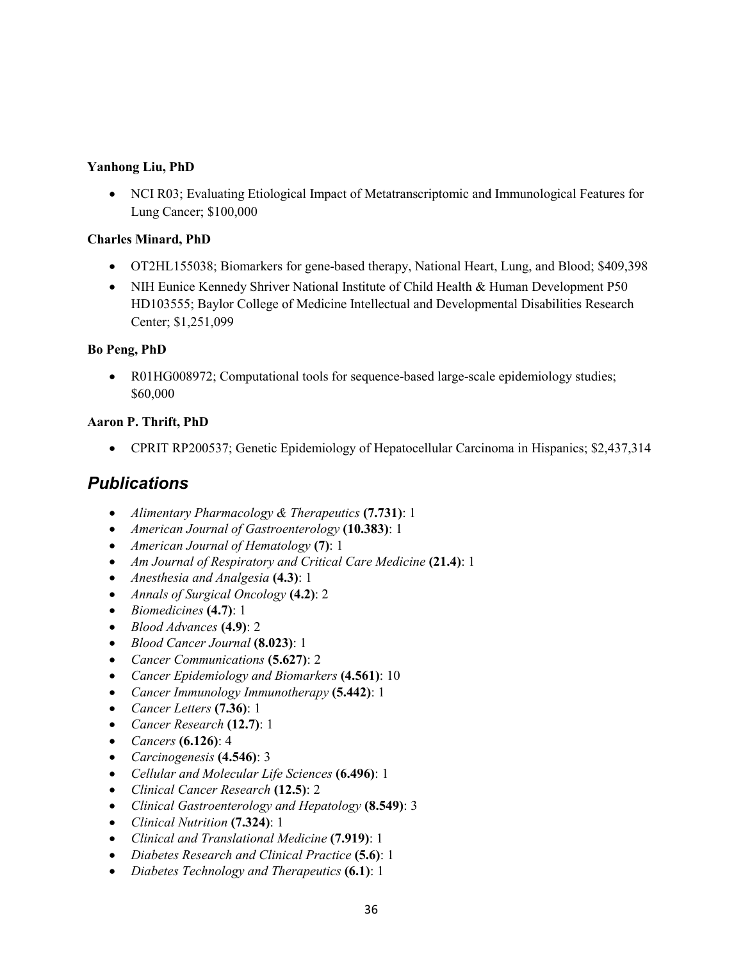#### **Yanhong Liu, PhD**

• NCI R03; Evaluating Etiological Impact of Metatranscriptomic and Immunological Features for Lung Cancer; \$100,000

#### **Charles Minard, PhD**

- OT2HL155038; Biomarkers for gene-based therapy, National Heart, Lung, and Blood; \$409,398
- NIH Eunice Kennedy Shriver National Institute of Child Health & Human Development P50 HD103555; Baylor College of Medicine Intellectual and Developmental Disabilities Research Center; \$1,251,099

#### **Bo Peng, PhD**

• R01HG008972; Computational tools for sequence-based large-scale epidemiology studies; \$60,000

#### **Aaron P. Thrift, PhD**

• CPRIT RP200537; Genetic Epidemiology of Hepatocellular Carcinoma in Hispanics; \$2,437,314

# *Publications*

- *Alimentary Pharmacology & Therapeutics* **(7.731)**: 1
- *American Journal of Gastroenterology* **(10.383)**: 1
- *American Journal of Hematology* **(7)**: 1
- *Am Journal of Respiratory and Critical Care Medicine* **(21.4)**: 1
- *Anesthesia and Analgesia* **(4.3)**: 1
- *Annals of Surgical Oncology* **(4.2)**: 2
- *Biomedicines* **(4.7)**: 1
- *Blood Advances* **(4.9)**: 2
- *Blood Cancer Journal* **(8.023)**: 1
- *Cancer Communications* **(5.627)**: 2
- *Cancer Epidemiology and Biomarkers* **(4.561)**: 10
- *Cancer Immunology Immunotherapy* **(5.442)**: 1
- *Cancer Letters* **(7.36)**: 1
- *Cancer Research* **(12.7)**: 1
- *Cancers* **(6.126)**: 4
- *Carcinogenesis* **(4.546)**: 3
- *Cellular and Molecular Life Sciences* **(6.496)**: 1
- *Clinical Cancer Research* **(12.5)**: 2
- *Clinical Gastroenterology and Hepatology* **(8.549)**: 3
- *Clinical Nutrition* **(7.324)**: 1
- *Clinical and Translational Medicine* **(7.919)**: 1
- *Diabetes Research and Clinical Practice* **(5.6)**: 1
- *Diabetes Technology and Therapeutics* **(6.1)**: 1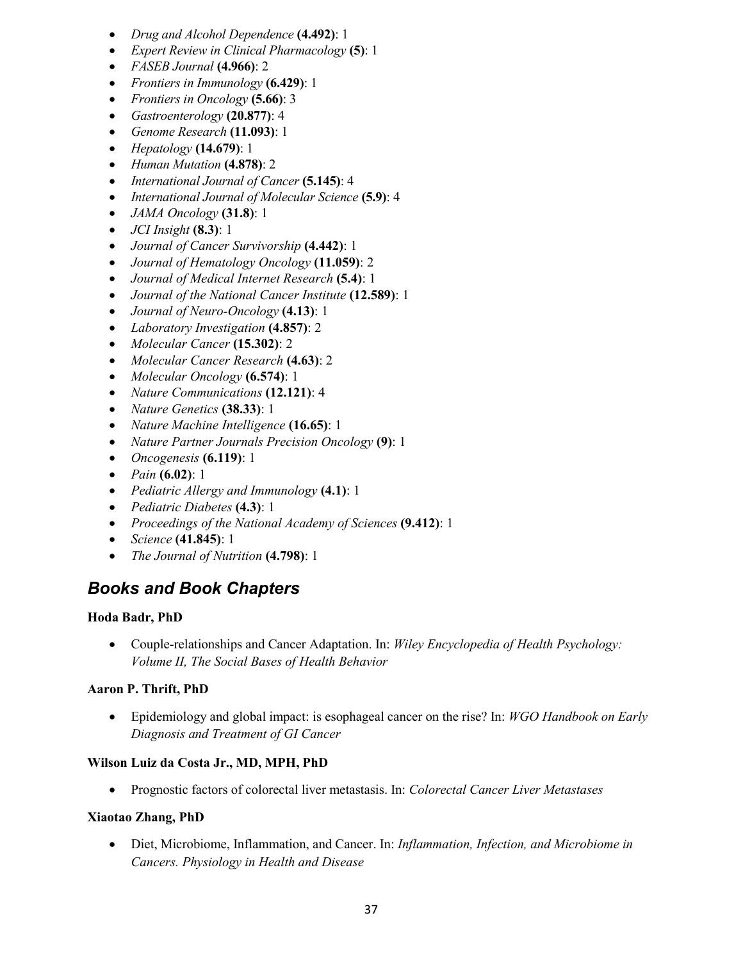- *Drug and Alcohol Dependence* **(4.492)**: 1
- *Expert Review in Clinical Pharmacology* **(5)**: 1
- *FASEB Journal* **(4.966)**: 2
- *Frontiers in Immunology* **(6.429)**: 1
- *Frontiers in Oncology* **(5.66)**: 3
- *Gastroenterology* **(20.877)**: 4
- *Genome Research* **(11.093)**: 1
- *Hepatology* **(14.679)**: 1
- *Human Mutation* **(4.878)**: 2
- *International Journal of Cancer* **(5.145)**: 4
- *International Journal of Molecular Science* **(5.9)**: 4
- *JAMA Oncology* **(31.8)**: 1
- *JCI Insight* **(8.3)**: 1
- *Journal of Cancer Survivorship* **(4.442)**: 1
- *Journal of Hematology Oncology* **(11.059)**: 2
- *Journal of Medical Internet Research* **(5.4)**: 1
- *Journal of the National Cancer Institute* **(12.589)**: 1
- *Journal of Neuro-Oncology* **(4.13)**: 1
- *Laboratory Investigation* **(4.857)**: 2
- *Molecular Cancer* **(15.302)**: 2
- *Molecular Cancer Research* **(4.63)**: 2
- *Molecular Oncology* **(6.574)**: 1
- *Nature Communications* **(12.121)**: 4
- *Nature Genetics* **(38.33)**: 1
- *Nature Machine Intelligence* **(16.65)**: 1
- *Nature Partner Journals Precision Oncology* **(9)**: 1
- *Oncogenesis* **(6.119)**: 1
- *Pain* **(6.02)**: 1
- *Pediatric Allergy and Immunology* **(4.1)**: 1
- *Pediatric Diabetes* **(4.3)**: 1
- *Proceedings of the National Academy of Sciences* **(9.412)**: 1
- *Science* **(41.845)**: 1
- *The Journal of Nutrition* **(4.798)**: 1

# *Books and Book Chapters*

#### **Hoda Badr, PhD**

• Couple-relationships and Cancer Adaptation. In: *Wiley Encyclopedia of Health Psychology: Volume II, The Social Bases of Health Behavior*

#### **Aaron P. Thrift, PhD**

• Epidemiology and global impact: is esophageal cancer on the rise? In: *WGO Handbook on Early Diagnosis and Treatment of GI Cancer*

#### **Wilson Luiz da Costa Jr., MD, MPH, PhD**

• Prognostic factors of colorectal liver metastasis. In: *Colorectal Cancer Liver Metastases*

#### **Xiaotao Zhang, PhD**

• Diet, Microbiome, Inflammation, and Cancer. In: *Inflammation, Infection, and Microbiome in Cancers. Physiology in Health and Disease*